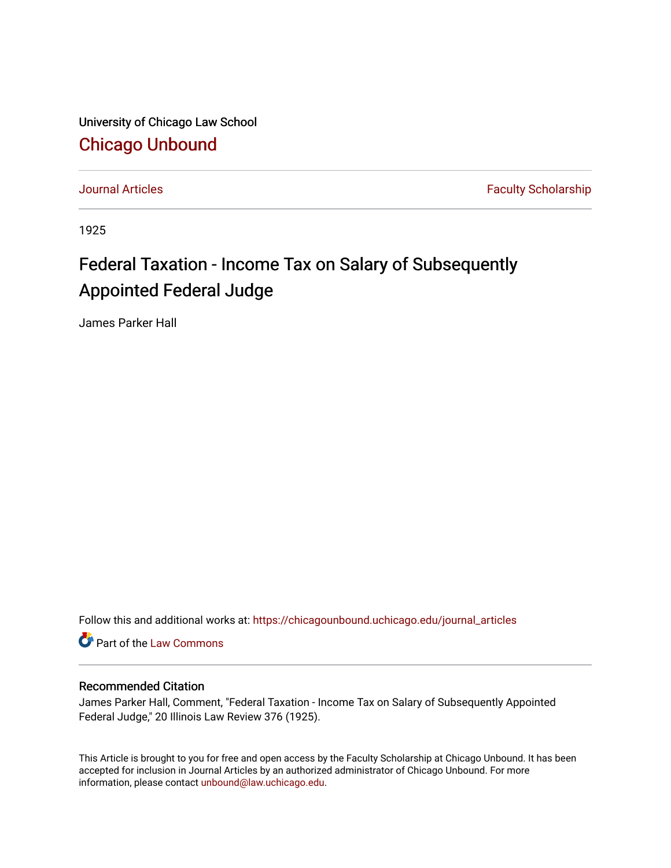University of Chicago Law School [Chicago Unbound](https://chicagounbound.uchicago.edu/)

[Journal Articles](https://chicagounbound.uchicago.edu/journal_articles) **Faculty Scholarship Journal Articles** 

1925

## Federal Taxation - Income Tax on Salary of Subsequently Appointed Federal Judge

James Parker Hall

Follow this and additional works at: [https://chicagounbound.uchicago.edu/journal\\_articles](https://chicagounbound.uchicago.edu/journal_articles?utm_source=chicagounbound.uchicago.edu%2Fjournal_articles%2F9118&utm_medium=PDF&utm_campaign=PDFCoverPages) 

Part of the [Law Commons](http://network.bepress.com/hgg/discipline/578?utm_source=chicagounbound.uchicago.edu%2Fjournal_articles%2F9118&utm_medium=PDF&utm_campaign=PDFCoverPages)

## Recommended Citation

James Parker Hall, Comment, "Federal Taxation - Income Tax on Salary of Subsequently Appointed Federal Judge," 20 Illinois Law Review 376 (1925).

This Article is brought to you for free and open access by the Faculty Scholarship at Chicago Unbound. It has been accepted for inclusion in Journal Articles by an authorized administrator of Chicago Unbound. For more information, please contact [unbound@law.uchicago.edu](mailto:unbound@law.uchicago.edu).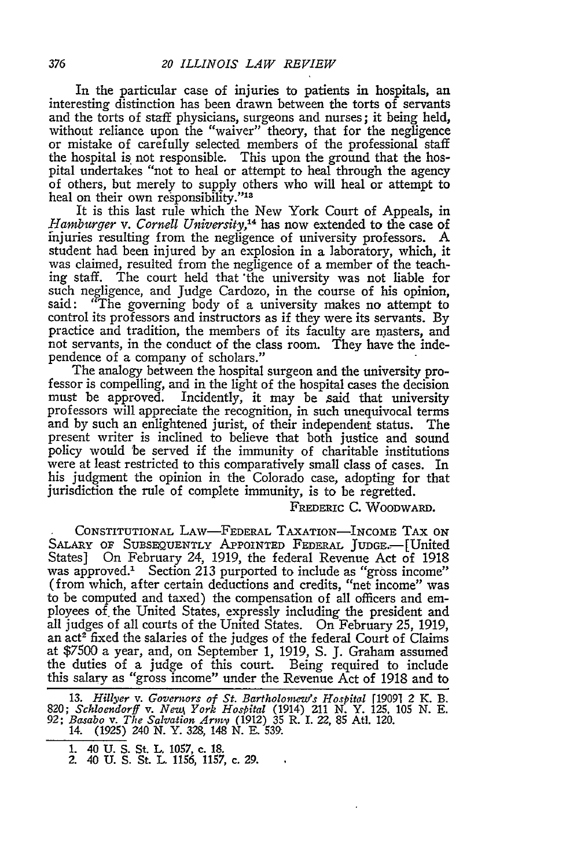In the particular case of injuries to patients in hospitals, an interesting distinction has been drawn between the torts of servants and the torts of staff physicians, surgeons and nurses; it being held, without reliance upon the "waiver" theory, that for the negligence or mistake of carefully selected members of the professional staff the hospital is not responsible. This upon the ground that the hospital undertakes "not to heal or attempt to heal through the agency of others, but merely to supply others who will heal or attempt to heal on their own responsibility."<sup>14</sup>

It is this last rule which the New York Court of Appeals, in *Hamburger v. Cornell University,14* has now extended to the case of injuries resulting from the negligence of university professors. A student had been injured by an explosion in a laboratory, which, it was claimed, resulted from the negligence of a member of the teaching staff. The court held that 'the university was not liable for such negligence, and Judge Cardozo, in the course of his opinion, said: "The governing body of a university makes no attempt to control its professors and instructors as if they were its servants. By practice and tradition, the members of its faculty are masters, and not servants, in the conduct of the class room. They have the independence of a company of scholars."

The analogy between the hospital surgeon and the university professor is compelling, and in the light of the hospital cases the decision must be approved. Incidently, it may be said that university professors will appreciate the recognition, in such unequivocal terms and by such an enlightened jurist, of their independent status. The present writer is inclined to believe that both justice and sound policy would be served if the immunity of charitable institutions were at least restricted to this comparatively small class of cases. In his judgment the opinion in the Colorado case, adopting for that jurisdiction the rule of complete immunity, is to be regretted.

FREDERIC C. WOODWARD.

CONSTITUTIONAL LAW--FEDERAL TAXATION-INcomE TAX ON SALARY OF SUBSEQUENTLY APPOINTED FEDERAL JUDGE.-- [United States] On February 24, 1919, the federal Revenue Act of 1918 was approved.' Section 213 purported to include as "gross income" (from which, after certain deductions and credits, "net income" was to be computed and taxed) the compensation of all officers and em ployees of. the United States, expressly including the president and all judges of all courts of the United States. On February 25, 1919, an act<sup>2</sup> fixed the salaries of the judges of the federal Court of Claims at \$7500 a year, and, on September 1, 1919, **S.** J. Graham assumed the duties of a judge of this court. Being required to include this salary as "gross income" under the Revenue Act of 1918 and to

**13.** *Hillyer v. Governors of St. BartholoneWs Hospital* [19091 2 K. B. 820; *Schloendorff v. New York Hospital* (1914) 211 N. Y. 125, 105 N. E.<br>92; *Basabo v. The Salvation Army* (1912) 35 R. I. 22, 85 Atl. 120.<br>14. (1925) 240 N. Y. 328, 148 N. E. 539.

**<sup>1.</sup>** 40 U. S. St. L. 1057, c. 18. 2. 40 **U.** S. St. L. 1156, 1157, c. 29.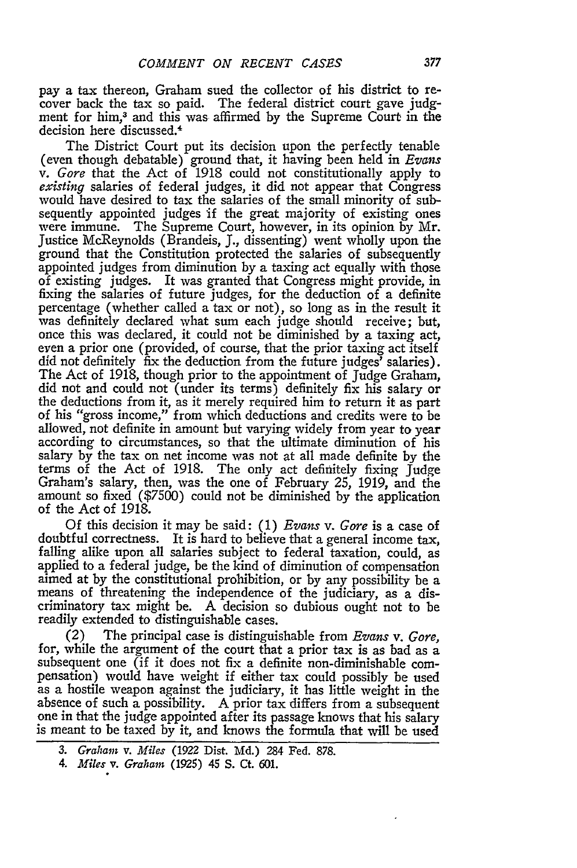pay a tax thereon, Graham sued the collector of his district to recover back the tax so paid. The federal district court gave judgment for him,<sup>3</sup> and this was affirmed by the Supreme Court in the decision here discussed.4

The District Court put its decision upon the perfectly tenable (even though debatable) ground that, it having been held in *Evans v. Gore* that the Act of 1918 could not constitutionally apply to *existing* salaries of federal judges, it did not appear that Congress would have desired to tax the salaries of the small minority of subsequently appointed judges if the great majority of existing ones were immune. The Supreme Court, however, in its opinion by Mr. Justice McReynolds (Brandeis, J., dissenting) went wholly upon the ground that the Constitution protected the salaries of subsequently appointed judges from diminution by a taxing act equally with those of existing judges. It was granted that Congress might provide, in fixing the salaries of future judges, for the deduction of a definite percentage (whether called a tax or not), so long as in the result it was definitely declared what sum each judge should receive; but, once this was declared, it could not be diminished by a taxing act, even a prior one (provided, of course, that the prior taxing act itself did not definitely fix the deduction from the future judges' salaries). The Act of 1918, though prior to the appointment of Judge Graham, did not and could not (under its terms) definitely fix his salary or the deductions from it, as it merely required him to return it as part of his "gross income," from which deductions and credits were to be allowed, not definite in amount but varying widely from year to year according to circumstances, so that the ultimate diminution of his salary by the tax on net income was not at all made definite by the terms of the Act of 1918. The only act definitely fixing Judge Graham's salary, then, was the one of February 25, 1919, and the amount so fixed (\$7500) could not be diminished by the application of the Act of 1918.

Of this decision it may be said: (1) *Evans v. Gore* is a case of doubtful correctness. It is hard to believe that a general income tax, falling alike upon all salaries subject to federal taxation, could, as applied to a federal judge, be the kind of diminution of compensation aimed at by the constitutional prohibition, or by any possibility be a means of threatening the independence of the judiciary, as a discriminatory tax might be. A decision so dubious ought not to be readily extended to distinguishable cases.

(2) The principal case is distinguishable from *Evans v. Gore,* for, while the argument of the court that a prior tax is as bad as a subsequent one (if it does not fix a definite non-diminishable compensation) would have weight if either tax could possibly be used as a hostile weapon against the judiciary, it has little weight in the absence of such a possibility. A prior tax differs from a subsequent one in that the judge appointed after its passage knows that his salary is meant to be taxed by it, and knows the formula that will be used

*<sup>3.</sup> Graham v. Miles* (1922 Dist. Md.) 284 Fed. 878.

*<sup>4.</sup> Miles v. Graham* **(1925)** 45 **S. Ct.** 601.